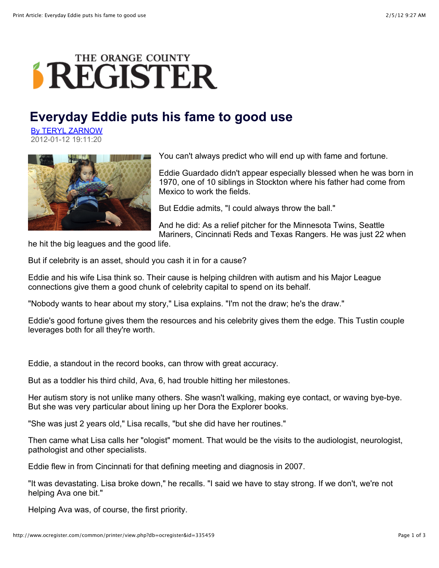## THE ORANGE COUNTY **SREGISTER**

## **Everyday Eddie puts his fame to good use**

By TERYL ZARNOW 2012-01-12 19:11:20



You can't always predict who will end up with fame and fortune.

Eddie Guardado didn't appear especially blessed when he was born in 1970, one of 10 siblings in Stockton where his father had come from Mexico to work the fields.

But Eddie admits, "I could always throw the ball."

And he did: As a relief pitcher for the Minnesota Twins, Seattle Mariners, Cincinnati Reds and Texas Rangers. He was just 22 when

he hit the big leagues and the good life.

But if celebrity is an asset, should you cash it in for a cause?

Eddie and his wife Lisa think so. Their cause is helping children with autism and his Major League connections give them a good chunk of celebrity capital to spend on its behalf.

"Nobody wants to hear about my story," Lisa explains. "I'm not the draw; he's the draw."

Eddie's good fortune gives them the resources and his celebrity gives them the edge. This Tustin couple leverages both for all they're worth.

Eddie, a standout in the record books, can throw with great accuracy.

But as a toddler his third child, Ava, 6, had trouble hitting her milestones.

Her autism story is not unlike many others. She wasn't walking, making eye contact, or waving bye-bye. But she was very particular about lining up her Dora the Explorer books.

"She was just 2 years old," Lisa recalls, "but she did have her routines."

Then came what Lisa calls her "ologist" moment. That would be the visits to the audiologist, neurologist, pathologist and other specialists.

Eddie flew in from Cincinnati for that defining meeting and diagnosis in 2007.

"It was devastating. Lisa broke down," he recalls. "I said we have to stay strong. If we don't, we're not helping Ava one bit."

Helping Ava was, of course, the first priority.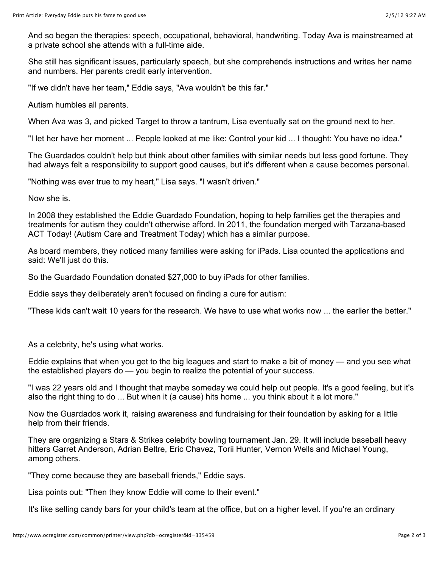And so began the therapies: speech, occupational, behavioral, handwriting. Today Ava is mainstreamed at a private school she attends with a full-time aide.

She still has significant issues, particularly speech, but she comprehends instructions and writes her name and numbers. Her parents credit early intervention.

"If we didn't have her team," Eddie says, "Ava wouldn't be this far."

Autism humbles all parents.

When Ava was 3, and picked Target to throw a tantrum, Lisa eventually sat on the ground next to her.

"I let her have her moment ... People looked at me like: Control your kid ... I thought: You have no idea."

The Guardados couldn't help but think about other families with similar needs but less good fortune. They had always felt a responsibility to support good causes, but it's different when a cause becomes personal.

"Nothing was ever true to my heart," Lisa says. "I wasn't driven."

Now she is.

In 2008 they established the Eddie Guardado Foundation, hoping to help families get the therapies and treatments for autism they couldn't otherwise afford. In 2011, the foundation merged with Tarzana-based ACT Today! (Autism Care and Treatment Today) which has a similar purpose.

As board members, they noticed many families were asking for iPads. Lisa counted the applications and said: We'll just do this.

So the Guardado Foundation donated \$27,000 to buy iPads for other families.

Eddie says they deliberately aren't focused on finding a cure for autism:

"These kids can't wait 10 years for the research. We have to use what works now ... the earlier the better."

As a celebrity, he's using what works.

Eddie explains that when you get to the big leagues and start to make a bit of money — and you see what the established players do — you begin to realize the potential of your success.

"I was 22 years old and I thought that maybe someday we could help out people. It's a good feeling, but it's also the right thing to do ... But when it (a cause) hits home ... you think about it a lot more."

Now the Guardados work it, raising awareness and fundraising for their foundation by asking for a little help from their friends.

They are organizing a Stars & Strikes celebrity bowling tournament Jan. 29. It will include baseball heavy hitters Garret Anderson, Adrian Beltre, Eric Chavez, Torii Hunter, Vernon Wells and Michael Young, among others.

"They come because they are baseball friends," Eddie says.

Lisa points out: "Then they know Eddie will come to their event."

It's like selling candy bars for your child's team at the office, but on a higher level. If you're an ordinary